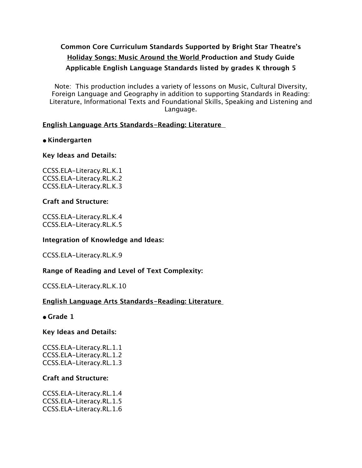# **Common Core Curriculum Standards Supported by Bright Star Theatre's Holiday Songs: Music Around the World Production and Study Guide Applicable English Language Standards listed by grades K through 5**

Note: This production includes a variety of lessons on Music, Cultural Diversity, Foreign Language and Geography in addition to supporting Standards in Reading: Literature, Informational Texts and Foundational Skills, Speaking and Listening and Language.

### **English Language Arts Standards-Reading: Literature**

### **• Kindergarten**

### **Key Ideas and Details:**

CCSS.ELA-Literacy.RL.K.1 CCSS.ELA-Literacy.RL.K.2 CCSS.ELA-Literacy.RL.K.3

### **Craft and Structure:**

CCSS.ELA-Literacy.RL.K.4 CCSS.ELA-Literacy.RL.K.5

### **Integration of Knowledge and Ideas:**

CCSS.ELA-Literacy.RL.K.9

## **Range of Reading and Level of Text Complexity:**

CCSS.ELA-Literacy.RL.K.10

## **English Language Arts Standards-Reading: Literature**

**• Grade 1**

### **Key Ideas and Details:**

CCSS.ELA-Literacy.RL.1.1 CCSS.ELA-Literacy.RL.1.2 CCSS.ELA-Literacy.RL.1.3

### **Craft and Structure:**

CCSS.ELA-Literacy.RL.1.4 CCSS.ELA-Literacy.RL.1.5 CCSS.ELA-Literacy.RL.1.6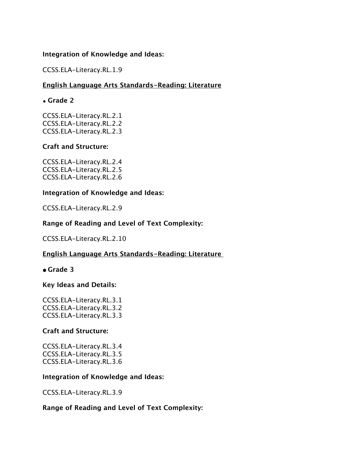### **Integration of Knowledge and Ideas:**

CCSS.ELA-Literacy.RL.1.9

### **English Language Arts Standards-Reading: Literature**

#### • **Grade 2**

CCSS.ELA-Literacy.RL.2.1 CCSS.ELA-Literacy.RL.2.2 CCSS.ELA-Literacy.RL.2.3

#### **Craft and Structure:**

CCSS.ELA-Literacy.RL.2.4 CCSS.ELA-Literacy.RL.2.5 CCSS.ELA-Literacy.RL.2.6

#### **Integration of Knowledge and Ideas:**

CCSS.ELA-Literacy.RL.2.9

### **Range of Reading and Level of Text Complexity:**

CCSS.ELA-Literacy.RL.2.10

### **English Language Arts Standards-Reading: Literature**

#### **• Grade 3**

#### **Key Ideas and Details:**

CCSS.ELA-Literacy.RL.3.1 CCSS.ELA-Literacy.RL.3.2 CCSS.ELA-Literacy.RL.3.3

#### **Craft and Structure:**

CCSS.ELA-Literacy.RL.3.4 CCSS.ELA-Literacy.RL.3.5 CCSS.ELA-Literacy.RL.3.6

#### **Integration of Knowledge and Ideas:**

CCSS.ELA-Literacy.RL.3.9

#### **Range of Reading and Level of Text Complexity:**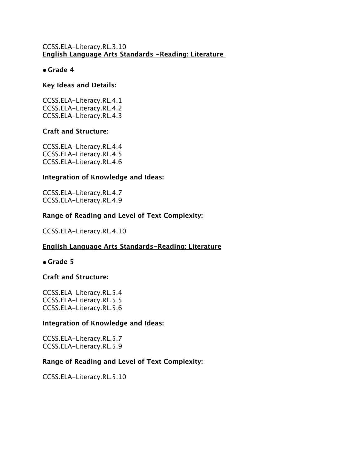### CCSS.ELA-Literacy.RL.3.10 **English Language Arts Standards -Reading: Literature**

### **• Grade 4**

### **Key Ideas and Details:**

CCSS.ELA-Literacy.RL.4.1 CCSS.ELA-Literacy.RL.4.2 CCSS.ELA-Literacy.RL.4.3

### **Craft and Structure:**

CCSS.ELA-Literacy.RL.4.4 CCSS.ELA-Literacy.RL.4.5 CCSS.ELA-Literacy.RL.4.6

### **Integration of Knowledge and Ideas:**

CCSS.ELA-Literacy.RL.4.7 CCSS.ELA-Literacy.RL.4.9

### **Range of Reading and Level of Text Complexity:**

CCSS.ELA-Literacy.RL.4.10

## **English Language Arts Standards-Reading: Literature**

### **• Grade 5**

### **Craft and Structure:**

CCSS.ELA-Literacy.RL.5.4 CCSS.ELA-Literacy.RL.5.5 CCSS.ELA-Literacy.RL.5.6

### **Integration of Knowledge and Ideas:**

CCSS.ELA-Literacy.RL.5.7 CCSS.ELA-Literacy.RL.5.9

## **Range of Reading and Level of Text Complexity:**

CCSS.ELA-Literacy.RL.5.10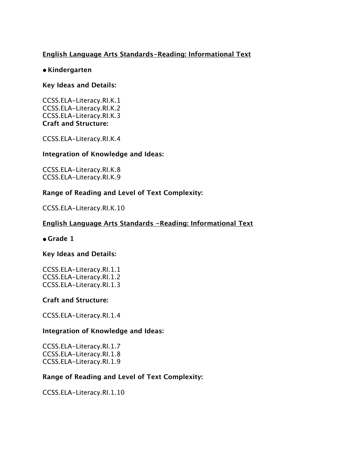## **English Language Arts Standards-Reading: Informational Text**

### **• Kindergarten**

### **Key Ideas and Details:**

CCSS.ELA-Literacy.RI.K.1 CCSS.ELA-Literacy.RI.K.2 CCSS.ELA-Literacy.RI.K.3 **Craft and Structure:**

CCSS.ELA-Literacy.RI.K.4

### **Integration of Knowledge and Ideas:**

CCSS.ELA-Literacy.RI.K.8 CCSS.ELA-Literacy.RI.K.9

### **Range of Reading and Level of Text Complexity:**

CCSS.ELA-Literacy.RI.K.10

### **English Language Arts Standards -Reading: Informational Text**

### **• Grade 1**

### **Key Ideas and Details:**

CCSS.ELA-Literacy.RI.1.1 CCSS.ELA-Literacy.RI.1.2 CCSS.ELA-Literacy.RI.1.3

### **Craft and Structure:**

CCSS.ELA-Literacy.RI.1.4

### **Integration of Knowledge and Ideas:**

CCSS.ELA-Literacy.RI.1.7 CCSS.ELA-Literacy.RI.1.8 CCSS.ELA-Literacy.RI.1.9

### **Range of Reading and Level of Text Complexity:**

CCSS.ELA-Literacy.RI.1.10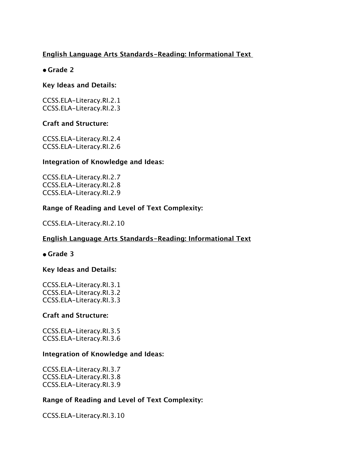## **English Language Arts Standards-Reading: Informational Text**

### **• Grade 2**

### **Key Ideas and Details:**

CCSS.ELA-Literacy.RI.2.1 CCSS.ELA-Literacy.RI.2.3

### **Craft and Structure:**

CCSS.ELA-Literacy.RI.2.4 CCSS.ELA-Literacy.RI.2.6

#### **Integration of Knowledge and Ideas:**

CCSS.ELA-Literacy.RI.2.7 CCSS.ELA-Literacy.RI.2.8 CCSS.ELA-Literacy.RI.2.9

### **Range of Reading and Level of Text Complexity:**

CCSS.ELA-Literacy.RI.2.10

### **English Language Arts Standards-Reading: Informational Text**

**• Grade 3**

### **Key Ideas and Details:**

CCSS.ELA-Literacy.RI.3.1 CCSS.ELA-Literacy.RI.3.2 CCSS.ELA-Literacy.RI.3.3

### **Craft and Structure:**

CCSS.ELA-Literacy.RI.3.5 CCSS.ELA-Literacy.RI.3.6

### **Integration of Knowledge and Ideas:**

CCSS.ELA-Literacy.RI.3.7 CCSS.ELA-Literacy.RI.3.8 CCSS.ELA-Literacy.RI.3.9

### **Range of Reading and Level of Text Complexity:**

CCSS.ELA-Literacy.RI.3.10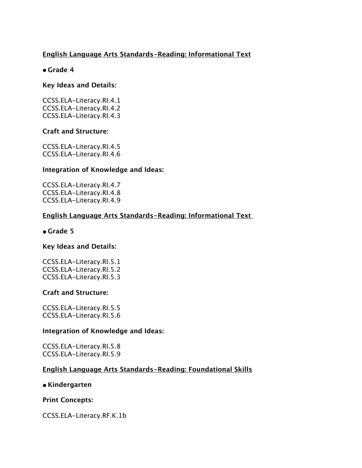## **English Language Arts Standards-Reading: Informational Text**

## **• Grade 4**

### **Key Ideas and Details:**

CCSS.ELA-Literacy.RI.4.1 CCSS.ELA-Literacy.RI.4.2 CCSS.ELA-Literacy.RI.4.3

### **Craft and Structure:**

CCSS.ELA-Literacy.RI.4.5 CCSS.ELA-Literacy.RI.4.6

### **Integration of Knowledge and Ideas:**

CCSS.ELA-Literacy.RI.4.7 CCSS.ELA-Literacy.RI.4.8 CCSS.ELA-Literacy.RI.4.9

## **English Language Arts Standards-Reading: Informational Text**

### **• Grade 5**

### **Key Ideas and Details:**

CCSS.ELA-Literacy.RI.5.1 CCSS.ELA-Literacy.RI.5.2 CCSS.ELA-Literacy.RI.5.3

### **Craft and Structure:**

CCSS.ELA-Literacy.RI.5.5 CCSS.ELA-Literacy.RI.5.6

### **Integration of Knowledge and Ideas:**

CCSS.ELA-Literacy.RI.5.8 CCSS.ELA-Literacy.RI.5.9

### **English Language Arts Standards-Reading: Foundational Skills**

### **• Kindergarten**

### **Print Concepts:**

CCSS.ELA-Literacy.RF.K.1b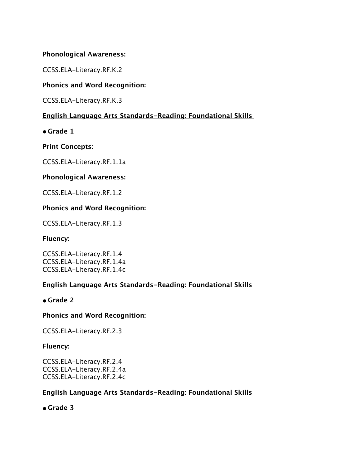### **Phonological Awareness:**

CCSS.ELA-Literacy.RF.K.2

### **Phonics and Word Recognition:**

CCSS.ELA-Literacy.RF.K.3

## **English Language Arts Standards-Reading: Foundational Skills**

**• Grade 1**

**Print Concepts:**

CCSS.ELA-Literacy.RF.1.1a

### **Phonological Awareness:**

CCSS.ELA-Literacy.RF.1.2

### **Phonics and Word Recognition:**

CCSS.ELA-Literacy.RF.1.3

**Fluency:**

CCSS.ELA-Literacy.RF.1.4 CCSS.ELA-Literacy.RF.1.4a CCSS.ELA-Literacy.RF.1.4c

## **English Language Arts Standards-Reading: Foundational Skills**

**• Grade 2**

### **Phonics and Word Recognition:**

CCSS.ELA-Literacy.RF.2.3

### **Fluency:**

CCSS.ELA-Literacy.RF.2.4 CCSS.ELA-Literacy.RF.2.4a CCSS.ELA-Literacy.RF.2.4c

## **English Language Arts Standards-Reading: Foundational Skills**

**• Grade 3**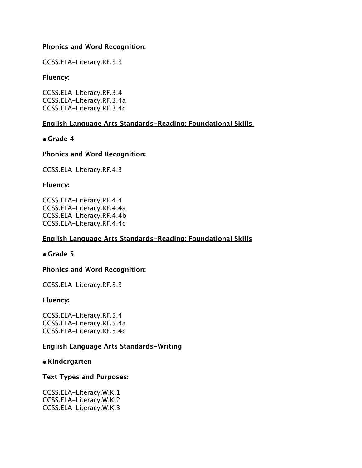### **Phonics and Word Recognition:**

CCSS.ELA-Literacy.RF.3.3

**Fluency:**

CCSS.ELA-Literacy.RF.3.4 CCSS.ELA-Literacy.RF.3.4a CCSS.ELA-Literacy.RF.3.4c

## **English Language Arts Standards-Reading: Foundational Skills**

**• Grade 4**

### **Phonics and Word Recognition:**

CCSS.ELA-Literacy.RF.4.3

### **Fluency:**

CCSS.ELA-Literacy.RF.4.4 CCSS.ELA-Literacy.RF.4.4a CCSS.ELA-Literacy.RF.4.4b CCSS.ELA-Literacy.RF.4.4c

## **English Language Arts Standards-Reading: Foundational Skills**

**• Grade 5**

## **Phonics and Word Recognition:**

CCSS.ELA-Literacy.RF.5.3

### **Fluency:**

CCSS.ELA-Literacy.RF.5.4 CCSS.ELA-Literacy.RF.5.4a CCSS.ELA-Literacy.RF.5.4c

## **English Language Arts Standards-Writing**

### **• Kindergarten**

### **Text Types and Purposes:**

CCSS.ELA-Literacy.W.K.1 CCSS.ELA-Literacy.W.K.2 CCSS.ELA-Literacy.W.K.3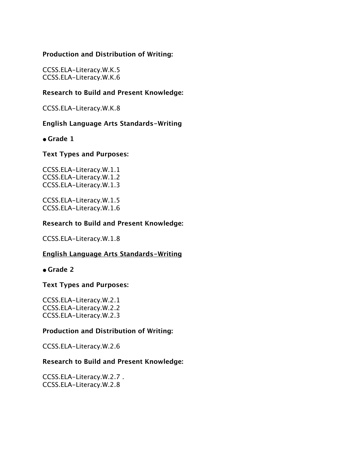### **Production and Distribution of Writing:**

CCSS.ELA-Literacy.W.K.5 CCSS.ELA-Literacy.W.K.6

### **Research to Build and Present Knowledge:**

CCSS.ELA-Literacy.W.K.8

### **English Language Arts Standards-Writing**

**• Grade 1**

#### **Text Types and Purposes:**

CCSS.ELA-Literacy.W.1.1 CCSS.ELA-Literacy.W.1.2 CCSS.ELA-Literacy.W.1.3

CCSS.ELA-Literacy.W.1.5 CCSS.ELA-Literacy.W.1.6

#### **Research to Build and Present Knowledge:**

CCSS.ELA-Literacy.W.1.8

### **English Language Arts Standards-Writing**

**• Grade 2**

### **Text Types and Purposes:**

CCSS.ELA-Literacy.W.2.1 CCSS.ELA-Literacy.W.2.2 CCSS.ELA-Literacy.W.2.3

#### **Production and Distribution of Writing:**

CCSS.ELA-Literacy.W.2.6

#### **Research to Build and Present Knowledge:**

CCSS.ELA-Literacy.W.2.7 . CCSS.ELA-Literacy.W.2.8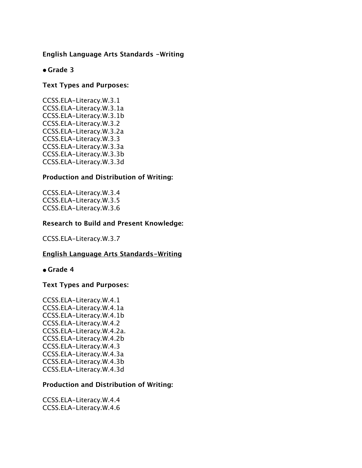### **English Language Arts Standards -Writing**

### **• Grade 3**

### **Text Types and Purposes:**

CCSS.ELA-Literacy.W.3.1 CCSS.ELA-Literacy.W.3.1a CCSS.ELA-Literacy.W.3.1b CCSS.ELA-Literacy.W.3.2 CCSS.ELA-Literacy.W.3.2a CCSS.ELA-Literacy.W.3.3 CCSS.ELA-Literacy.W.3.3a CCSS.ELA-Literacy.W.3.3b CCSS.ELA-Literacy.W.3.3d

### **Production and Distribution of Writing:**

CCSS.ELA-Literacy.W.3.4 CCSS.ELA-Literacy.W.3.5 CCSS.ELA-Literacy.W.3.6

### **Research to Build and Present Knowledge:**

CCSS.ELA-Literacy.W.3.7

### **English Language Arts Standards-Writing**

#### **• Grade 4**

#### **Text Types and Purposes:**

CCSS.ELA-Literacy.W.4.1 CCSS.ELA-Literacy.W.4.1a CCSS.ELA-Literacy.W.4.1b CCSS.ELA-Literacy.W.4.2 CCSS.ELA-Literacy.W.4.2a. CCSS.ELA-Literacy.W.4.2b CCSS.ELA-Literacy.W.4.3 CCSS.ELA-Literacy.W.4.3a CCSS.ELA-Literacy.W.4.3b CCSS.ELA-Literacy.W.4.3d

#### **Production and Distribution of Writing:**

CCSS.ELA-Literacy.W.4.4 CCSS.ELA-Literacy.W.4.6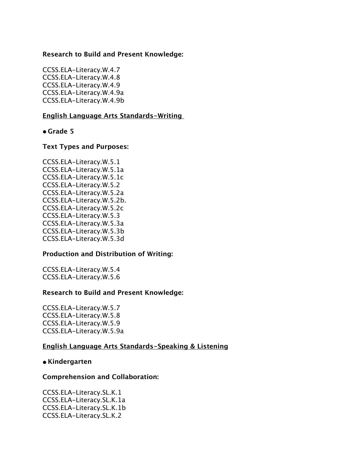### **Research to Build and Present Knowledge:**

CCSS.ELA-Literacy.W.4.7 CCSS.ELA-Literacy.W.4.8 CCSS.ELA-Literacy.W.4.9 CCSS.ELA-Literacy.W.4.9a CCSS.ELA-Literacy.W.4.9b

### **English Language Arts Standards-Writing**

#### **• Grade 5**

#### **Text Types and Purposes:**

CCSS.ELA-Literacy.W.5.1 CCSS.ELA-Literacy.W.5.1a CCSS.ELA-Literacy.W.5.1c CCSS.ELA-Literacy.W.5.2 CCSS.ELA-Literacy.W.5.2a CCSS.ELA-Literacy.W.5.2b. CCSS.ELA-Literacy.W.5.2c CCSS.ELA-Literacy.W.5.3 CCSS.ELA-Literacy.W.5.3a CCSS.ELA-Literacy.W.5.3b CCSS.ELA-Literacy.W.5.3d

### **Production and Distribution of Writing:**

CCSS.ELA-Literacy.W.5.4 CCSS.ELA-Literacy.W.5.6

#### **Research to Build and Present Knowledge:**

CCSS.ELA-Literacy.W.5.7 CCSS.ELA-Literacy.W.5.8 CCSS.ELA-Literacy.W.5.9 CCSS.ELA-Literacy.W.5.9a

#### **English Language Arts Standards-Speaking & Listening**

#### **• Kindergarten**

#### **Comprehension and Collaboration:**

CCSS.ELA-Literacy.SL.K.1 CCSS.ELA-Literacy.SL.K.1a CCSS.ELA-Literacy.SL.K.1b CCSS.ELA-Literacy.SL.K.2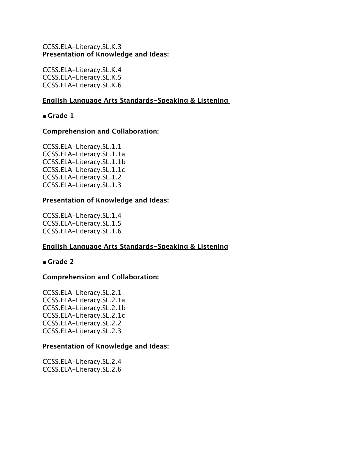### CCSS.ELA-Literacy.SL.K.3 **Presentation of Knowledge and Ideas:**

CCSS.ELA-Literacy.SL.K.4 CCSS.ELA-Literacy.SL.K.5 CCSS.ELA-Literacy.SL.K.6

### **English Language Arts Standards-Speaking & Listening**

**• Grade 1**

### **Comprehension and Collaboration:**

CCSS.ELA-Literacy.SL.1.1 CCSS.ELA-Literacy.SL.1.1a CCSS.ELA-Literacy.SL.1.1b CCSS.ELA-Literacy.SL.1.1c CCSS.ELA-Literacy.SL.1.2 CCSS.ELA-Literacy.SL.1.3

### **Presentation of Knowledge and Ideas:**

CCSS.ELA-Literacy.SL.1.4 CCSS.ELA-Literacy.SL.1.5 CCSS.ELA-Literacy.SL.1.6

## **English Language Arts Standards-Speaking & Listening**

## **• Grade 2**

## **Comprehension and Collaboration:**

CCSS.ELA-Literacy.SL.2.1 CCSS.ELA-Literacy.SL.2.1a CCSS.ELA-Literacy.SL.2.1b CCSS.ELA-Literacy.SL.2.1c CCSS.ELA-Literacy.SL.2.2 CCSS.ELA-Literacy.SL.2.3

### **Presentation of Knowledge and Ideas:**

CCSS.ELA-Literacy.SL.2.4 CCSS.ELA-Literacy.SL.2.6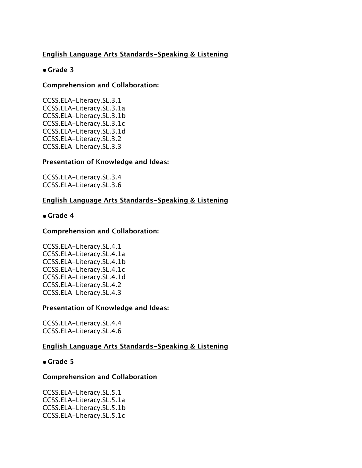## **English Language Arts Standards-Speaking & Listening**

## **• Grade 3**

## **Comprehension and Collaboration:**

CCSS.ELA-Literacy.SL.3.1 CCSS.ELA-Literacy.SL.3.1a CCSS.ELA-Literacy.SL.3.1b CCSS.ELA-Literacy.SL.3.1c CCSS.ELA-Literacy.SL.3.1d CCSS.ELA-Literacy.SL.3.2 CCSS.ELA-Literacy.SL.3.3

## **Presentation of Knowledge and Ideas:**

CCSS.ELA-Literacy.SL.3.4 CCSS.ELA-Literacy.SL.3.6

## **English Language Arts Standards-Speaking & Listening**

### **• Grade 4**

### **Comprehension and Collaboration:**

CCSS.ELA-Literacy.SL.4.1 CCSS.ELA-Literacy.SL.4.1a CCSS.ELA-Literacy.SL.4.1b CCSS.ELA-Literacy.SL.4.1c CCSS.ELA-Literacy.SL.4.1d CCSS.ELA-Literacy.SL.4.2 CCSS.ELA-Literacy.SL.4.3

### **Presentation of Knowledge and Ideas:**

CCSS.ELA-Literacy.SL.4.4 CCSS.ELA-Literacy.SL.4.6

## **English Language Arts Standards-Speaking & Listening**

### **• Grade 5**

## **Comprehension and Collaboration**

CCSS.ELA-Literacy.SL.5.1 CCSS.ELA-Literacy.SL.5.1a CCSS.ELA-Literacy.SL.5.1b CCSS.ELA-Literacy.SL.5.1c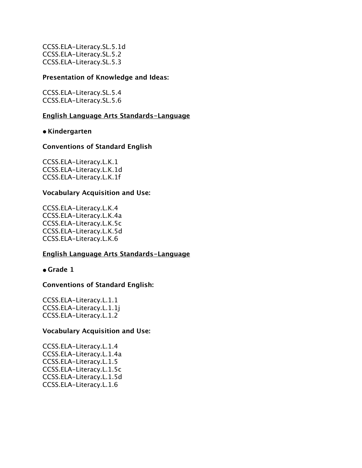CCSS.ELA-Literacy.SL.5.1d CCSS.ELA-Literacy.SL.5.2 CCSS.ELA-Literacy.SL.5.3

#### **Presentation of Knowledge and Ideas:**

CCSS.ELA-Literacy.SL.5.4 CCSS.ELA-Literacy.SL.5.6

#### **English Language Arts Standards-Language**

**• Kindergarten**

#### **Conventions of Standard English**

CCSS.ELA-Literacy.L.K.1 CCSS.ELA-Literacy.L.K.1d CCSS.ELA-Literacy.L.K.1f

#### **Vocabulary Acquisition and Use:**

CCSS.ELA-Literacy.L.K.4 CCSS.ELA-Literacy.L.K.4a CCSS.ELA-Literacy.L.K.5c CCSS.ELA-Literacy.L.K.5d CCSS.ELA-Literacy.L.K.6

### **English Language Arts Standards-Language**

**• Grade 1**

### **Conventions of Standard English:**

CCSS.ELA-Literacy.L.1.1 CCSS.ELA-Literacy.L.1.1j CCSS.ELA-Literacy.L.1.2

#### **Vocabulary Acquisition and Use:**

CCSS.ELA-Literacy.L.1.4 CCSS.ELA-Literacy.L.1.4a CCSS.ELA-Literacy.L.1.5 CCSS.ELA-Literacy.L.1.5c CCSS.ELA-Literacy.L.1.5d CCSS.ELA-Literacy.L.1.6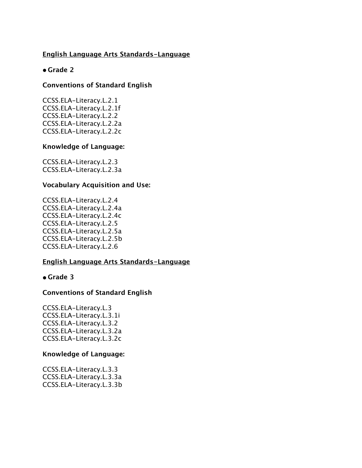### **English Language Arts Standards-Language**

### **• Grade 2**

### **Conventions of Standard English**

CCSS.ELA-Literacy.L.2.1 CCSS.ELA-Literacy.L.2.1f CCSS.ELA-Literacy.L.2.2 CCSS.ELA-Literacy.L.2.2a CCSS.ELA-Literacy.L.2.2c

### **Knowledge of Language:**

CCSS.ELA-Literacy.L.2.3 CCSS.ELA-Literacy.L.2.3a

### **Vocabulary Acquisition and Use:**

CCSS.ELA-Literacy.L.2.4 CCSS.ELA-Literacy.L.2.4a CCSS.ELA-Literacy.L.2.4c CCSS.ELA-Literacy.L.2.5 CCSS.ELA-Literacy.L.2.5a CCSS.ELA-Literacy.L.2.5b CCSS.ELA-Literacy.L.2.6

### **English Language Arts Standards-Language**

**• Grade 3**

### **Conventions of Standard English**

CCSS.ELA-Literacy.L.3 CCSS.ELA-Literacy.L.3.1i CCSS.ELA-Literacy.L.3.2 CCSS.ELA-Literacy.L.3.2a CCSS.ELA-Literacy.L.3.2c

#### **Knowledge of Language:**

CCSS.ELA-Literacy.L.3.3 CCSS.ELA-Literacy.L.3.3a CCSS.ELA-Literacy.L.3.3b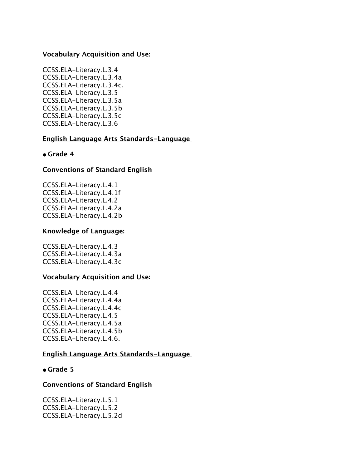### **Vocabulary Acquisition and Use:**

CCSS.ELA-Literacy.L.3.4 CCSS.ELA-Literacy.L.3.4a CCSS.ELA-Literacy.L.3.4c. CCSS.ELA-Literacy.L.3.5 CCSS.ELA-Literacy.L.3.5a CCSS.ELA-Literacy.L.3.5b CCSS.ELA-Literacy.L.3.5c CCSS.ELA-Literacy.L.3.6

#### **English Language Arts Standards-Language**

### **• Grade 4**

### **Conventions of Standard English**

CCSS.ELA-Literacy.L.4.1 CCSS.ELA-Literacy.L.4.1f CCSS.ELA-Literacy.L.4.2 CCSS.ELA-Literacy.L.4.2a CCSS.ELA-Literacy.L.4.2b

### **Knowledge of Language:**

CCSS.ELA-Literacy.L.4.3 CCSS.ELA-Literacy.L.4.3a CCSS.ELA-Literacy.L.4.3c

### **Vocabulary Acquisition and Use:**

CCSS.ELA-Literacy.L.4.4 CCSS.ELA-Literacy.L.4.4a CCSS.ELA-Literacy.L.4.4c CCSS.ELA-Literacy.L.4.5 CCSS.ELA-Literacy.L.4.5a CCSS.ELA-Literacy.L.4.5b CCSS.ELA-Literacy.L.4.6.

#### **English Language Arts Standards-Language**

### **• Grade 5**

#### **Conventions of Standard English**

CCSS.ELA-Literacy.L.5.1 CCSS.ELA-Literacy.L.5.2 CCSS.ELA-Literacy.L.5.2d